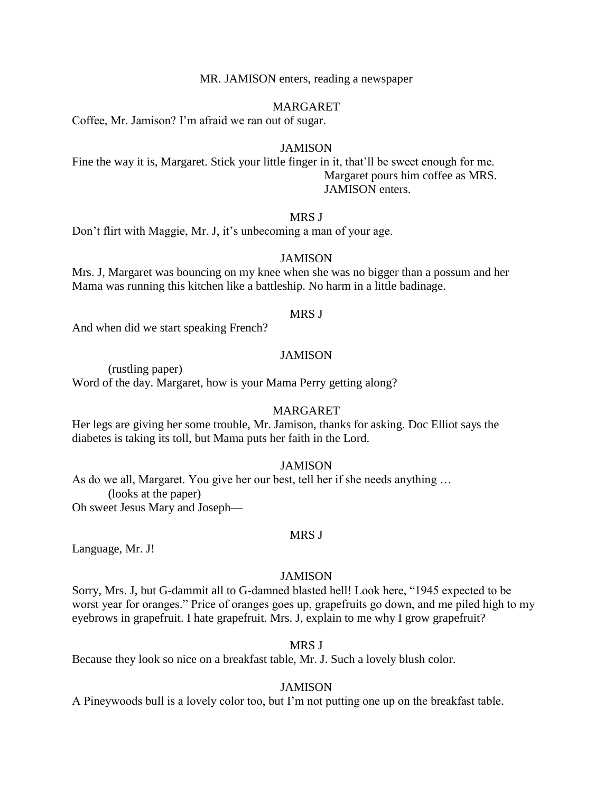MR. JAMISON enters, reading a newspaper

## MARGARET

Coffee, Mr. Jamison? I'm afraid we ran out of sugar.

## **JAMISON**

Fine the way it is, Margaret. Stick your little finger in it, that'll be sweet enough for me. Margaret pours him coffee as MRS. JAMISON enters.

## MRS J

Don't flirt with Maggie, Mr. J, it's unbecoming a man of your age.

## **JAMISON**

Mrs. J, Margaret was bouncing on my knee when she was no bigger than a possum and her Mama was running this kitchen like a battleship. No harm in a little badinage.

#### MRS J

And when did we start speaking French?

## **JAMISON**

(rustling paper) Word of the day. Margaret, how is your Mama Perry getting along?

#### MARGARET

Her legs are giving her some trouble, Mr. Jamison, thanks for asking. Doc Elliot says the diabetes is taking its toll, but Mama puts her faith in the Lord.

## **JAMISON**

As do we all, Margaret. You give her our best, tell her if she needs anything … (looks at the paper) Oh sweet Jesus Mary and Joseph—

## MRS J

Language, Mr. J!

#### **JAMISON**

Sorry, Mrs. J, but G-dammit all to G-damned blasted hell! Look here, "1945 expected to be worst year for oranges." Price of oranges goes up, grapefruits go down, and me piled high to my eyebrows in grapefruit. I hate grapefruit. Mrs. J, explain to me why I grow grapefruit?

#### MRS J

Because they look so nice on a breakfast table, Mr. J. Such a lovely blush color.

#### **JAMISON**

A Pineywoods bull is a lovely color too, but I'm not putting one up on the breakfast table.